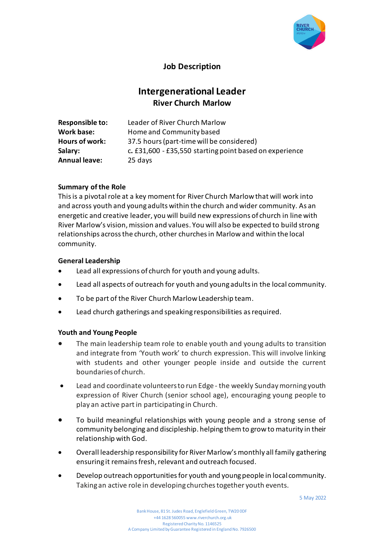

# **Job Description**

# **Intergenerational Leader River Church Marlow**

| <b>Responsible to:</b> | Leader of River Church Marlow                           |
|------------------------|---------------------------------------------------------|
| <b>Work base:</b>      | Home and Community based                                |
| Hours of work:         | 37.5 hours (part-time will be considered)               |
| Salary:                | c. £31,600 - £35,550 starting point based on experience |
| <b>Annual leave:</b>   | 25 days                                                 |

# **Summary of the Role**

This is a pivotal role at a key moment for River Church Marlow that will work into and across youth and young adults within the church and wider community. As an energetic and creative leader, you will build new expressions of church in line with River Marlow's vision, mission and values. You will also be expected to build strong relationships across the church, other churches in Marlow and within the local community.

#### **General Leadership**

- Lead all expressions of church for youth and young adults.
- Lead all aspects of outreach for youth and young adults in the local community.
- To be part of the River Church Marlow Leadership team.
- Lead church gatherings and speaking responsibilities as required.

#### **Youth and Young People**

- The main leadership team role to enable youth and young adults to transition and integrate from 'Youth work' to church expression. This will involve linking with students and other younger people inside and outside the current boundaries of church.
- Lead and coordinate volunteers to run Edge the weekly Sunday morning youth expression of River Church (senior school age), encouraging young people to play an active part in participating in Church.
- To build meaningful relationships with young people and a strong sense of community belonging and discipleship. helping them to grow to maturity in their relationship with God.
- Overall leadership responsibility for River Marlow's monthly all family gathering ensuring it remains fresh, relevant and outreach focused.
- Develop outreach opportunities for youth and young people in local community. Taking an active role in developing churches together youth events.

5 May 2022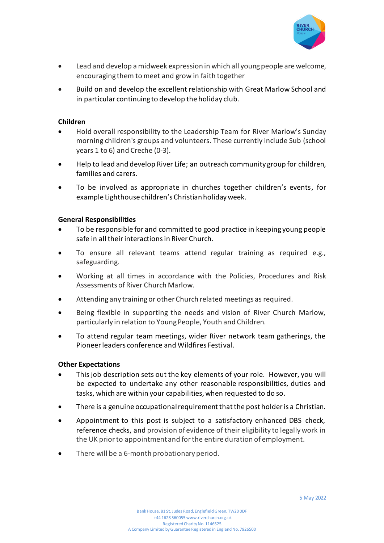

- Lead and develop a midweek expression in which all young people are welcome, encouraging them to meet and grow in faith together
- Build on and develop the excellent relationship with Great Marlow School and in particular continuing to develop the holiday club.

## **Children**

- Hold overall responsibility to the Leadership Team for River Marlow's Sunday morning children's groups and volunteers. These currently include Sub (school years 1 to 6) and Creche (0-3).
- Help to lead and develop River Life; an outreach community group for children, families and carers.
- To be involved as appropriate in churches together children's events, for example Lighthouse children's Christian holiday week.

# **General Responsibilities**

- To be responsible for and committed to good practice in keeping young people safe in all their interactions in River Church.
- To ensure all relevant teams attend regular training as required e.g., safeguarding.
- Working at all times in accordance with the Policies, Procedures and Risk Assessments of River Church Marlow.
- Attending any training or other Church related meetings as required.
- Being flexible in supporting the needs and vision of River Church Marlow, particularly in relation to Young People, Youth and Children.
- To attend regular team meetings, wider River network team gatherings, the Pioneer leaders conference and Wildfires Festival.

#### **Other Expectations**

- This job description sets out the key elements of your role. However, you will be expected to undertake any other reasonable responsibilities, duties and tasks, which are within your capabilities, when requested to do so.
- There is a genuine occupational requirement that the post holder is a Christian.
- Appointment to this post is subject to a satisfactory enhanced DBS check, reference checks, and provision of evidence of their eligibility to legally work in the UK prior to appointment and for the entire duration of employment.
- There will be a 6-month probationary period.